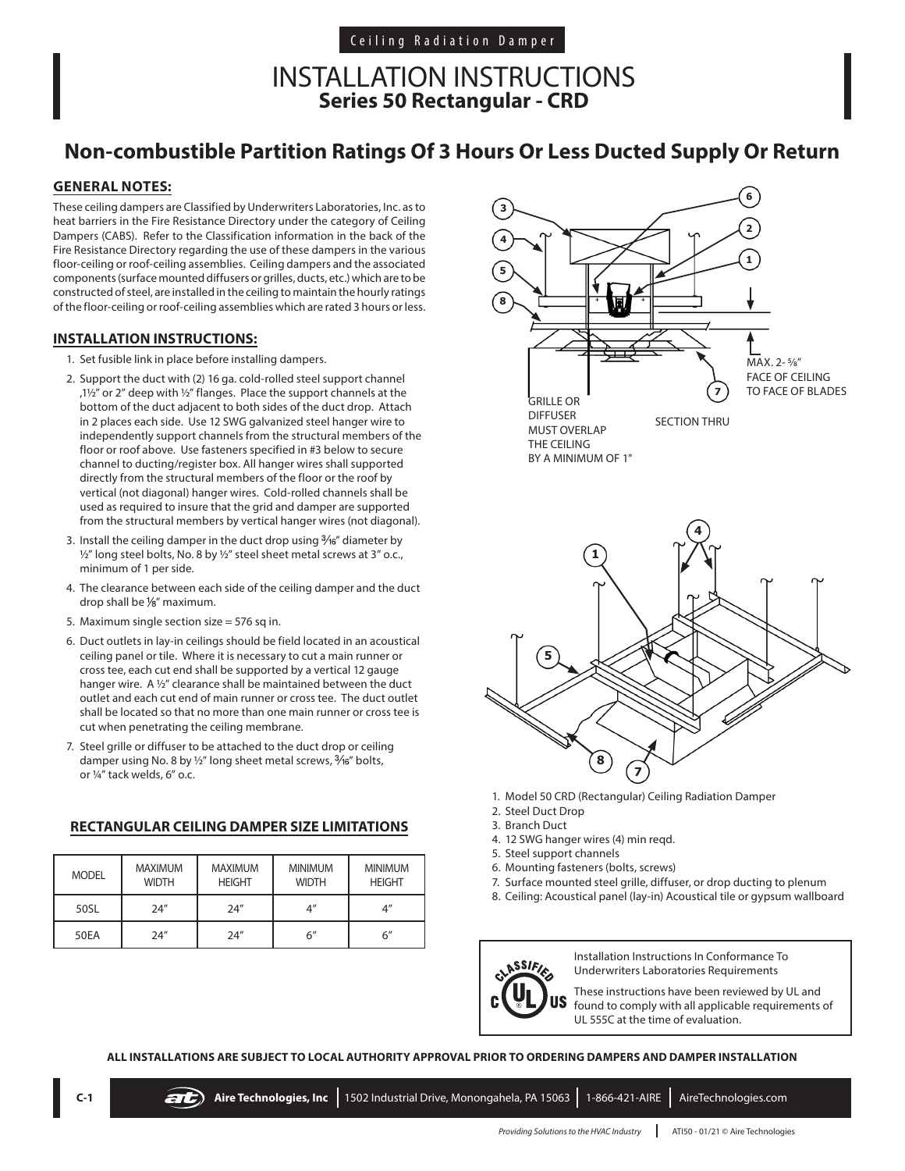### INSTALLATION INSTRUCTIONS **Series 50 Rectangular - CRD**

## **Non-combustible Partition Ratings Of 3 Hours Or Less Ducted Supply Or Return**

### **GENERAL NOTES:**

These ceiling dampers are Classified by Underwriters Laboratories, Inc. as to heat barriers in the Fire Resistance Directory under the category of Ceiling Dampers (CABS). Refer to the Classification information in the back of the Fire Resistance Directory regarding the use of these dampers in the various floor-ceiling or roof-ceiling assemblies. Ceiling dampers and the associated components (surface mounted diffusers or grilles, ducts, etc.) which are to be constructed of steel, are installed in the ceiling to maintain the hourly ratings of the floor-ceiling or roof-ceiling assemblies which are rated 3 hours or less.

### **INSTALLATION INSTRUCTIONS:**

- 1. Set fusible link in place before installing dampers.
- 2. Support the duct with (2) 16 ga. cold-rolled steel support channel ,1 $\frac{1}{2}$ " or 2" deep with  $\frac{1}{2}$ " flanges. Place the support channels at the bottom of the duct adjacent to both sides of the duct drop. Attach in 2 places each side. Use 12 SWG galvanized steel hanger wire to independently support channels from the structural members of the floor or roof above. Use fasteners specified in #3 below to secure channel to ducting/register box. All hanger wires shall supported directly from the structural members of the floor or the roof by vertical (not diagonal) hanger wires. Cold-rolled channels shall be used as required to insure that the grid and damper are supported from the structural members by vertical hanger wires (not diagonal).
- 3. Install the ceiling damper in the duct drop using  $\frac{3}{6}$  diameter by  $\frac{1}{2}$ " long steel bolts, No. 8 by  $\frac{1}{2}$ " steel sheet metal screws at 3" o.c., minimum of 1 per side.
- 4. The clearance between each side of the ceiling damper and the duct drop shall be  $\frac{1}{8}$ " maximum.
- 5. Maximum single section size = 576 sq in.
- 6. Duct outlets in lay-in ceilings should be field located in an acoustical ceiling panel or tile. Where it is necessary to cut a main runner or cross tee, each cut end shall be supported by a vertical 12 gauge hanger wire. A ½" clearance shall be maintained between the duct outlet and each cut end of main runner or cross tee. The duct outlet shall be located so that no more than one main runner or cross tee is cut when penetrating the ceiling membrane.
- 7. Steel grille or diffuser to be attached to the duct drop or ceiling damper using No. 8 by  $\frac{1}{2}$ " long sheet metal screws,  $\frac{3}{16}$ " bolts, or ¼" tack welds, 6" o.c.

### **RECTANGULAR CEILING DAMPER SIZE LIMITATIONS**

| <b>MODEL</b> | <b>MAXIMUM</b><br><b>WIDTH</b> | <b>MAXIMUM</b><br><b>HEIGHT</b> | <b>MINIMUM</b><br><b>WIDTH</b> | <b>MINIMUM</b><br><b>HEIGHT</b> |
|--------------|--------------------------------|---------------------------------|--------------------------------|---------------------------------|
| 50SL         | 24''                           | 24''                            | $4^{\prime\prime}$             | Δ"                              |
| <b>50EA</b>  | 74''                           | 24''                            | 6″                             | 6''                             |





- 1. Model 50 CRD (Rectangular) Ceiling Radiation Damper
- 2. Steel Duct Drop
- 3. Branch Duct
- 4. 12 SWG hanger wires (4) min reqd.
- 5. Steel support channels
- 6. Mounting fasteners (bolts, screws)
- 7. Surface mounted steel grille, diffuser, or drop ducting to plenum
- 8. Ceiling: Acoustical panel (lay-in) Acoustical tile or gypsum wallboard



Installation Instructions In Conformance To Underwriters Laboratories Requirements

These instructions have been reviewed by UL and found to comply with all applicable requirements of UL 555C at the time of evaluation.

#### **ALL INSTALLATIONS ARE SUBJECT TO LOCAL AUTHORITY APPROVAL PRIOR TO ORDERING DAMPERS AND DAMPER INSTALLATION**

| $C-1$ |  | Aire Technologies, Inc   1502 Industrial Drive, Monongahela, PA 15063   1-866-421-AIRE   AireTechnologies.com |  |
|-------|--|---------------------------------------------------------------------------------------------------------------|--|
|       |  |                                                                                                               |  |